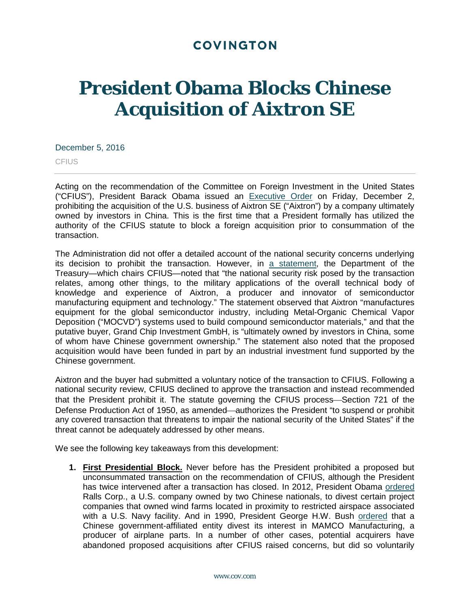# **COVINGTON**

# **President Obama Blocks Chinese Acquisition of Aixtron SE**

#### December 5, 2016

**CFIUS** 

Acting on the recommendation of the Committee on Foreign Investment in the United States ("CFIUS"), President Barack Obama issued an [Executive Order](https://www.whitehouse.gov/the-press-office/2016/12/02/presidential-order-regarding-proposed-acquisition-controlling-interest) on Friday, December 2, prohibiting the acquisition of the U.S. business of Aixtron SE ("Aixtron") by a company ultimately owned by investors in China. This is the first time that a President formally has utilized the authority of the CFIUS statute to block a foreign acquisition prior to consummation of the transaction.

The Administration did not offer a detailed account of the national security concerns underlying its decision to prohibit the transaction. However, in a [statement,](https://www.treasury.gov/press-center/press-releases/Pages/jl0679.aspx) the Department of the Treasury—which chairs CFIUS—noted that "the national security risk posed by the transaction relates, among other things, to the military applications of the overall technical body of knowledge and experience of Aixtron, a producer and innovator of semiconductor manufacturing equipment and technology." The statement observed that Aixtron "manufactures equipment for the global semiconductor industry, including Metal-Organic Chemical Vapor Deposition ("MOCVD") systems used to build compound semiconductor materials," and that the putative buyer, Grand Chip Investment GmbH, is "ultimately owned by investors in China, some of whom have Chinese government ownership." The statement also noted that the proposed acquisition would have been funded in part by an industrial investment fund supported by the Chinese government.

Aixtron and the buyer had submitted a voluntary notice of the transaction to CFIUS. Following a national security review, CFIUS declined to approve the transaction and instead recommended that the President prohibit it. The statute governing the CFIUS process-Section 721 of the Defense Production Act of 1950, as amended—authorizes the President "to suspend or prohibit any covered transaction that threatens to impair the national security of the United States" if the threat cannot be adequately addressed by other means.

We see the following key takeaways from this development:

**1. First Presidential Block.** Never before has the President prohibited a proposed but unconsummated transaction on the recommendation of CFIUS, although the President has twice intervened after a transaction has closed. In 2012, President Obama [ordered](https://www.whitehouse.gov/the-press-office/2012/09/28/order-signed-president-regarding-acquisition-four-us-wind-farm-project-c) Ralls Corp., a U.S. company owned by two Chinese nationals, to divest certain project companies that owned wind farms located in proximity to restricted airspace associated with a U.S. Navy facility. And in 1990, President George H.W. Bush [ordered](http://www.presidency.ucsb.edu/ws/?pid=18108) that a Chinese government-affiliated entity divest its interest in MAMCO Manufacturing, a producer of airplane parts. In a number of other cases, potential acquirers have abandoned proposed acquisitions after CFIUS raised concerns, but did so voluntarily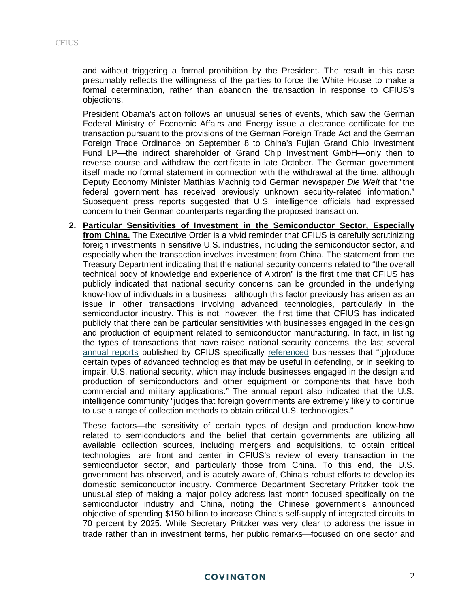and without triggering a formal prohibition by the President. The result in this case presumably reflects the willingness of the parties to force the White House to make a formal determination, rather than abandon the transaction in response to CFIUS's objections.

President Obama's action follows an unusual series of events, which saw the German Federal Ministry of Economic Affairs and Energy issue a clearance certificate for the transaction pursuant to the provisions of the German Foreign Trade Act and the German Foreign Trade Ordinance on September 8 to China's Fujian Grand Chip Investment Fund LP—the indirect shareholder of Grand Chip Investment GmbH—only then to reverse course and withdraw the certificate in late October. The German government itself made no formal statement in connection with the withdrawal at the time, although Deputy Economy Minister Matthias Machnig told German newspaper *Die Welt* that "the federal government has received previously unknown security-related information." Subsequent press reports suggested that U.S. intelligence officials had expressed concern to their German counterparts regarding the proposed transaction.

**2. Particular Sensitivities of Investment in the Semiconductor Sector, Especially from China.** The Executive Order is a vivid reminder that CFIUS is carefully scrutinizing foreign investments in sensitive U.S. industries, including the semiconductor sector, and especially when the transaction involves investment from China. The statement from the Treasury Department indicating that the national security concerns related to "the overall technical body of knowledge and experience of Aixtron" is the first time that CFIUS has publicly indicated that national security concerns can be grounded in the underlying know-how of individuals in a business—although this factor previously has arisen as an issue in other transactions involving advanced technologies, particularly in the semiconductor industry. This is not, however, the first time that CFIUS has indicated publicly that there can be particular sensitivities with businesses engaged in the design and production of equipment related to semiconductor manufacturing. In fact, in listing the types of transactions that have raised national security concerns, the last several [annual reports](https://www.cov.com/-/media/files/corporate/publications/2016/02/reflections_on_the_cfius_process_new_cfius_report_underscores_growth_of_chinese_investment_in_the_united_states.pdf) published by CFIUS specifically [referenced](https://www.treasury.gov/resource-center/international/foreign-investment/Documents/Annual%20Report%20to%20Congress%20for%20CY2014.pdf) businesses that "[p]roduce certain types of advanced technologies that may be useful in defending, or in seeking to impair, U.S. national security, which may include businesses engaged in the design and production of semiconductors and other equipment or components that have both commercial and military applications." The annual report also indicated that the U.S. intelligence community "judges that foreign governments are extremely likely to continue to use a range of collection methods to obtain critical U.S. technologies."

These factors—the sensitivity of certain types of design and production know-how related to semiconductors and the belief that certain governments are utilizing all available collection sources, including mergers and acquisitions, to obtain critical technologies are front and center in CFIUS's review of every transaction in the semiconductor sector, and particularly those from China. To this end, the U.S. government has observed, and is acutely aware of, China's robust efforts to develop its domestic semiconductor industry. Commerce Department Secretary Pritzker took the unusual step of making a major policy address last month focused specifically on the semiconductor industry and China, noting the Chinese government's announced objective of spending \$150 billion to increase China's self-supply of integrated circuits to 70 percent by 2025. While Secretary Pritzker was very clear to address the issue in trade rather than in investment terms, her public remarks—focused on one sector and

## **COVINGTON**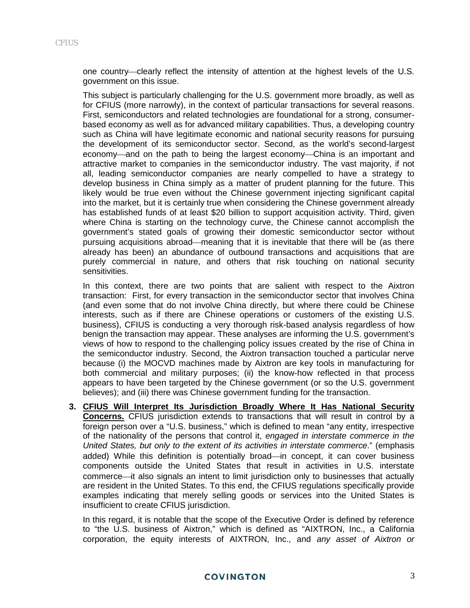one country—clearly reflect the intensity of attention at the highest levels of the U.S. government on this issue.

This subject is particularly challenging for the U.S. government more broadly, as well as for CFIUS (more narrowly), in the context of particular transactions for several reasons. First, semiconductors and related technologies are foundational for a strong, consumerbased economy as well as for advanced military capabilities. Thus, a developing country such as China will have legitimate economic and national security reasons for pursuing the development of its semiconductor sector. Second, as the world's second-largest economy—and on the path to being the largest economy—China is an important and attractive market to companies in the semiconductor industry. The vast majority, if not all, leading semiconductor companies are nearly compelled to have a strategy to develop business in China simply as a matter of prudent planning for the future. This likely would be true even without the Chinese government injecting significant capital into the market, but it is certainly true when considering the Chinese government already has established funds of at least \$20 billion to support acquisition activity. Third, given where China is starting on the technology curve, the Chinese cannot accomplish the government's stated goals of growing their domestic semiconductor sector without pursuing acquisitions abroad—meaning that it is inevitable that there will be (as there already has been) an abundance of outbound transactions and acquisitions that are purely commercial in nature, and others that risk touching on national security sensitivities.

In this context, there are two points that are salient with respect to the Aixtron transaction: First, for every transaction in the semiconductor sector that involves China (and even some that do not involve China directly, but where there could be Chinese interests, such as if there are Chinese operations or customers of the existing U.S. business), CFIUS is conducting a very thorough risk-based analysis regardless of how benign the transaction may appear. These analyses are informing the U.S. government's views of how to respond to the challenging policy issues created by the rise of China in the semiconductor industry. Second, the Aixtron transaction touched a particular nerve because (i) the MOCVD machines made by Aixtron are key tools in manufacturing for both commercial and military purposes; (ii) the know-how reflected in that process appears to have been targeted by the Chinese government (or so the U.S. government believes); and (iii) there was Chinese government funding for the transaction.

**3. CFIUS Will Interpret Its Jurisdiction Broadly Where It Has National Security Concerns.** CFIUS jurisdiction extends to transactions that will result in control by a foreign person over a "U.S. business," which is defined to mean "any entity, irrespective of the nationality of the persons that control it, *engaged in interstate commerce in the United States, but only to the extent of its activities in interstate commerce*." (emphasis added) While this definition is potentially broad—in concept, it can cover business components outside the United States that result in activities in U.S. interstate commerce—it also signals an intent to limit jurisdiction only to businesses that actually are resident in the United States. To this end, the CFIUS regulations specifically provide examples indicating that merely selling goods or services into the United States is insufficient to create CFIUS jurisdiction.

In this regard, it is notable that the scope of the Executive Order is defined by reference to "the U.S. business of Aixtron," which is defined as "AIXTRON, Inc., a California corporation, the equity interests of AIXTRON, Inc., and *any asset of Aixtron or*

## **COVINGTON**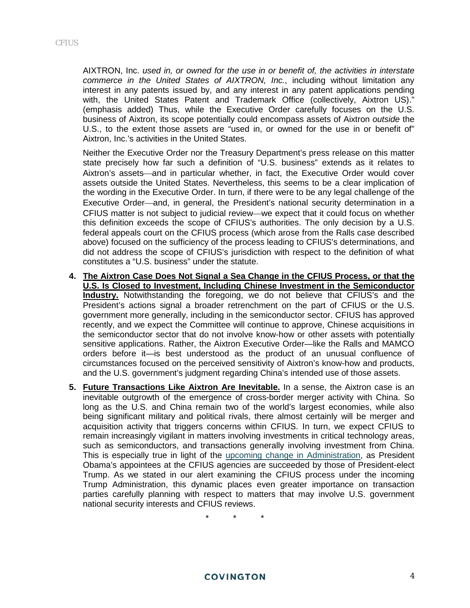AIXTRON, Inc. *used in, or owned for the use in or benefit of, the activities in interstate commerce in the United States of AIXTRON, Inc.*, including without limitation any interest in any patents issued by, and any interest in any patent applications pending with, the United States Patent and Trademark Office (collectively, Aixtron US)." (emphasis added) Thus, while the Executive Order carefully focuses on the U.S. business of Aixtron, its scope potentially could encompass assets of Aixtron *outside* the U.S., to the extent those assets are "used in, or owned for the use in or benefit of" Aixtron, Inc.'s activities in the United States.

Neither the Executive Order nor the Treasury Department's press release on this matter state precisely how far such a definition of "U.S. business" extends as it relates to Aixtron's assets—and in particular whether, in fact, the Executive Order would cover assets outside the United States. Nevertheless, this seems to be a clear implication of the wording in the Executive Order. In turn, if there were to be any legal challenge of the Executive Order—and, in general, the President's national security determination in a CFIUS matter is not subject to judicial review—we expect that it could focus on whether this definition exceeds the scope of CFIUS's authorities. The only decision by a U.S. federal appeals court on the CFIUS process (which arose from the Ralls case described above) focused on the sufficiency of the process leading to CFIUS's determinations, and did not address the scope of CFIUS's jurisdiction with respect to the definition of what constitutes a "U.S. business" under the statute.

- **4. The Aixtron Case Does Not Signal a Sea Change in the CFIUS Process, or that the U.S. Is Closed to Investment, Including Chinese Investment in the Semiconductor Industry.** Notwithstanding the foregoing, we do not believe that CFIUS's and the President's actions signal a broader retrenchment on the part of CFIUS or the U.S. government more generally, including in the semiconductor sector. CFIUS has approved recently, and we expect the Committee will continue to approve, Chinese acquisitions in the semiconductor sector that do not involve know-how or other assets with potentially sensitive applications. Rather, the Aixtron Executive Order—like the Ralls and MAMCO orders before it—is best understood as the product of an unusual confluence of circumstances focused on the perceived sensitivity of Aixtron's know-how and products, and the U.S. government's judgment regarding China's intended use of those assets.
- **5. Future Transactions Like Aixtron Are Inevitable.** In a sense, the Aixtron case is an inevitable outgrowth of the emergence of cross-border merger activity with China. So long as the U.S. and China remain two of the world's largest economies, while also being significant military and political rivals, there almost certainly will be merger and acquisition activity that triggers concerns within CFIUS. In turn, we expect CFIUS to remain increasingly vigilant in matters involving investments in critical technology areas, such as semiconductors, and transactions generally involving investment from China. This is especially true in light of the [upcoming change in Administration,](https://www.cov.com/-/media/files/corporate/publications/2016/11/cfius_and_foreign_direct_investment_under_president_donald_trump.pdf) as President Obama's appointees at the CFIUS agencies are succeeded by those of President-elect Trump. As we stated in our alert examining the CFIUS process under the incoming Trump Administration, this dynamic places even greater importance on transaction parties carefully planning with respect to matters that may involve U.S. government national security interests and CFIUS reviews.

\* \* \*

#### **COVINGTON**